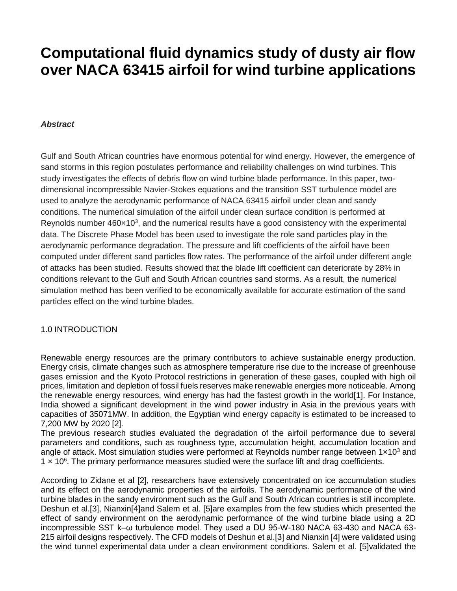# **Computational fluid dynamics study of dusty air flow over NACA 63415 airfoil for wind turbine applications**

## *Abstract*

Gulf and South African countries have enormous potential for wind energy. However, the emergence of sand storms in this region postulates performance and reliability challenges on wind turbines. This study investigates the effects of debris flow on wind turbine blade performance. In this paper, twodimensional incompressible Navier-Stokes equations and the transition SST turbulence model are used to analyze the aerodynamic performance of NACA 63415 airfoil under clean and sandy conditions. The numerical simulation of the airfoil under clean surface condition is performed at Reynolds number  $460 \times 10^3$ , and the numerical results have a good consistency with the experimental data. The Discrete Phase Model has been used to investigate the role sand particles play in the aerodynamic performance degradation. The pressure and lift coefficients of the airfoil have been computed under different sand particles flow rates. The performance of the airfoil under different angle of attacks has been studied. Results showed that the blade lift coefficient can deteriorate by 28% in conditions relevant to the Gulf and South African countries sand storms. As a result, the numerical simulation method has been verified to be economically available for accurate estimation of the sand particles effect on the wind turbine blades.

## 1.0 INTRODUCTION

Renewable energy resources are the primary contributors to achieve sustainable energy production. Energy crisis, climate changes such as atmosphere temperature rise due to the increase of greenhouse gases emission and the Kyoto Protocol restrictions in generation of these gases, coupled with high oil prices, limitation and depletion of fossil fuels reserves make renewable energies more noticeable. Among the renewable energy resources, wind energy has had the fastest growth in the world[\[1\]](#page-8-0). For Instance, India showed a significant development in the wind power industry in Asia in the previous years with capacities of 35071MW. In addition, the Egyptian wind energy capacity is estimated to be increased to 7,200 MW by 2020 [\[2\]](#page-8-1).

The previous research studies evaluated the degradation of the airfoil performance due to several parameters and conditions, such as roughness type, accumulation height, accumulation location and angle of attack. Most simulation studies were performed at Reynolds number range between  $1\times10^3$  and 1 x 10<sup>6</sup>. The primary performance measures studied were the surface lift and drag coefficients.

According to Zidane et al [\[2\]](#page-8-1), researchers have extensively concentrated on ice accumulation studies and its effect on the aerodynamic properties of the airfoils. The aerodynamic performance of the wind turbine blades in the sandy environment such as the Gulf and South African countries is still incomplete. Deshun et al.[\[3\]](#page-8-2), Nianxin[\[4\]](#page-8-3)and Salem et al. [\[5\]](#page-8-4)are examples from the few studies which presented the effect of sandy environment on the aerodynamic performance of the wind turbine blade using a 2D incompressible SST k–ω turbulence model. They used a DU 95-W-180 NACA 63-430 and NACA 63- 215 airfoil designs respectively. The CFD models of Deshun et al.[\[3\]](#page-8-2) and Nianxin [\[4\]](#page-8-3) were validated using the wind tunnel experimental data under a clean environment conditions. Salem et al. [\[5\]](#page-8-4)validated the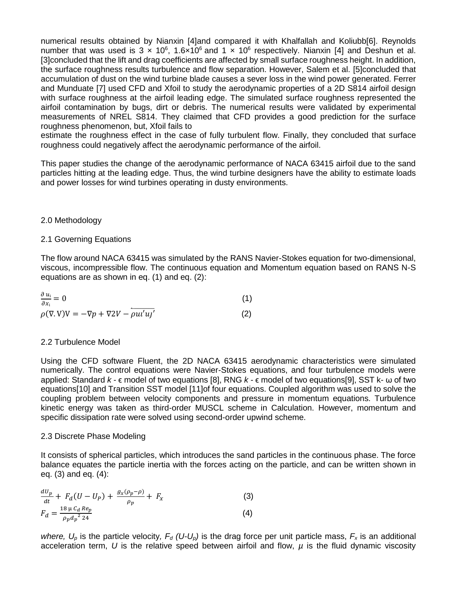numerical results obtained by Nianxin [\[4\]](#page-8-3)and compared it with Khalfallah and Koliubb[\[6\]](#page-8-5). Reynolds number that was used is  $3 \times 10^6$ , 1.6×10<sup>6</sup> and 1 x 10<sup>6</sup> respectively. Nianxin [\[4\]](#page-8-3) and Deshun et al. [\[3\]](#page-8-2)concluded that the lift and drag coefficients are affected by small surface roughness height. In addition, the surface roughness results turbulence and flow separation. However, Salem et al. [\[5\]](#page-8-4)concluded that accumulation of dust on the wind turbine blade causes a sever loss in the wind power generated. Ferrer and Munduate [\[7\]](#page-8-6) used CFD and Xfoil to study the aerodynamic properties of a 2D S814 airfoil design with surface roughness at the airfoil leading edge. The simulated surface roughness represented the airfoil contamination by bugs, dirt or debris. The numerical results were validated by experimental measurements of NREL S814. They claimed that CFD provides a good prediction for the surface roughness phenomenon, but, Xfoil fails to

estimate the roughness effect in the case of fully turbulent flow. Finally, they concluded that surface roughness could negatively affect the aerodynamic performance of the airfoil.

This paper studies the change of the aerodynamic performance of NACA 63415 airfoil due to the sand particles hitting at the leading edge. Thus, the wind turbine designers have the ability to estimate loads and power losses for wind turbines operating in dusty environments.

## 2.0 Methodology

## 2.1 Governing Equations

The flow around NACA 63415 was simulated by the RANS Navier-Stokes equation for two-dimensional, viscous, incompressible flow. The continuous equation and Momentum equation based on RANS N-S equations are as shown in eq. (1) and eq. (2):

| $\frac{\partial u_i}{\partial x_i} = 0$                        |  |
|----------------------------------------------------------------|--|
| $\rho(\nabla \cdot V)V = -\nabla p + \nabla 2V - \rho u u' u'$ |  |

## 2.2 Turbulence Model

Using the CFD software Fluent, the 2D NACA 63415 aerodynamic characteristics were simulated numerically. The control equations were Navier-Stokes equations, and four turbulence models were applied: Standard *k -* ϵ model of two equations [\[8\]](#page-8-7), RNG *k -* ϵ model of two equations[\[9\]](#page-8-8), SST k- ω of two equations[\[10\]](#page-8-9) and Transition SST model [\[11\]](#page-8-10)of four equations. Coupled algorithm was used to solve the coupling problem between velocity components and pressure in momentum equations. Turbulence kinetic energy was taken as third-order MUSCL scheme in Calculation. However, momentum and specific dissipation rate were solved using second-order upwind scheme.

#### 2.3 Discrete Phase Modeling

It consists of spherical particles, which introduces the sand particles in the continuous phase. The force balance equates the particle inertia with the forces acting on the particle, and can be written shown in eq. (3) and eq. (4):

$$
\frac{dU_p}{dt} + F_d(U - U_p) + \frac{g_x(\rho_p - \rho)}{\rho_p} + F_x
$$
(3)  

$$
F_d = \frac{18 \mu C_d Re_p}{\rho_p d_p^2 24}
$$
(4)

*where,*  $U_p$  is the particle velocity,  $F_d$  (U- $U_p$ ) is the drag force per unit particle mass,  $F_x$  is an additional acceleration term, *U* is the relative speed between airfoil and flow, *µ* is the fluid dynamic viscosity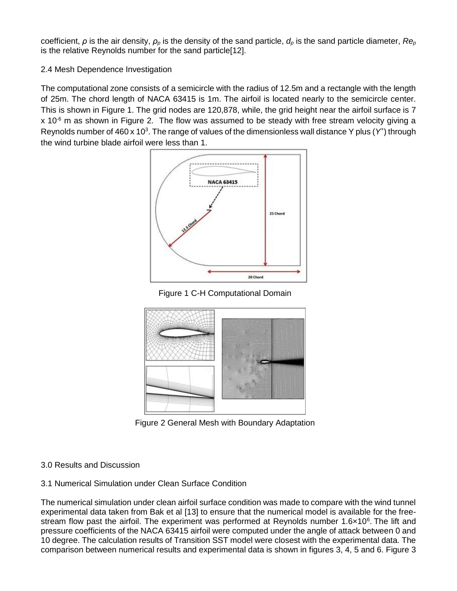coefficient, *ρ* is the air density, *ρ<sup>p</sup>* is the density of the sand particle, *d<sup>p</sup>* is the sand particle diameter, *Re<sup>p</sup>* is the relative Reynolds number for the sand particle[\[12\]](#page-8-11).

# 2.4 Mesh Dependence Investigation

The computational zone consists of a semicircle with the radius of 12.5m and a rectangle with the length of 25m. The chord length of NACA 63415 is 1m. The airfoil is located nearly to the semicircle center. This is shown in Figure 1. The grid nodes are 120,878, while, the grid height near the airfoil surface is 7  $x$  10<sup>-6</sup> m as shown in Figure 2. The flow was assumed to be steady with free stream velocity giving a Reynolds number of 460 x 10<sup>3</sup>. The range of values of the dimensionless wall distance Y plus (Y<sup>+</sup>) through the wind turbine blade airfoil were less than 1.



Figure 1 C-H Computational Domain



Figure 2 General Mesh with Boundary Adaptation

# 3.0 Results and Discussion

# 3.1 Numerical Simulation under Clean Surface Condition

The numerical simulation under clean airfoil surface condition was made to compare with the wind tunnel experimental data taken from Bak et al [\[13\]](#page-8-12) to ensure that the numerical model is available for the freestream flow past the airfoil. The experiment was performed at Reynolds number 1.6×10<sup>6</sup>. The lift and pressure coefficients of the NACA 63415 airfoil were computed under the angle of attack between 0 and 10 degree. The calculation results of Transition SST model were closest with the experimental data. The comparison between numerical results and experimental data is shown in figures 3, 4, 5 and 6. Figure 3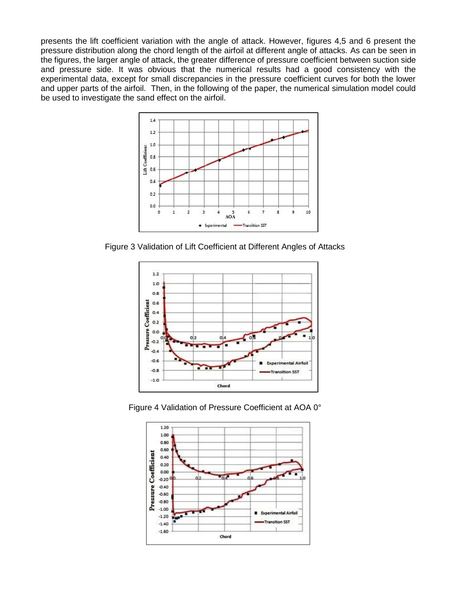presents the lift coefficient variation with the angle of attack. However, figures 4,5 and 6 present the pressure distribution along the chord length of the airfoil at different angle of attacks. As can be seen in the figures, the larger angle of attack, the greater difference of pressure coefficient between suction side and pressure side. It was obvious that the numerical results had a good consistency with the experimental data, except for small discrepancies in the pressure coefficient curves for both the lower and upper parts of the airfoil. Then, in the following of the paper, the numerical simulation model could be used to investigate the sand effect on the airfoil.



Figure 3 Validation of Lift Coefficient at Different Angles of Attacks





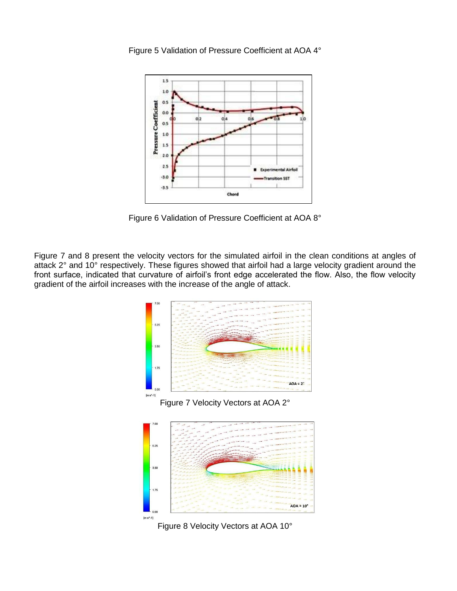

Figure 5 Validation of Pressure Coefficient at AOA 4°

Figure 6 Validation of Pressure Coefficient at AOA 8°

Figure 7 and 8 present the velocity vectors for the simulated airfoil in the clean conditions at angles of attack 2° and 10° respectively. These figures showed that airfoil had a large velocity gradient around the front surface, indicated that curvature of airfoil's front edge accelerated the flow. Also, the flow velocity gradient of the airfoil increases with the increase of the angle of attack.







Figure 8 Velocity Vectors at AOA 10°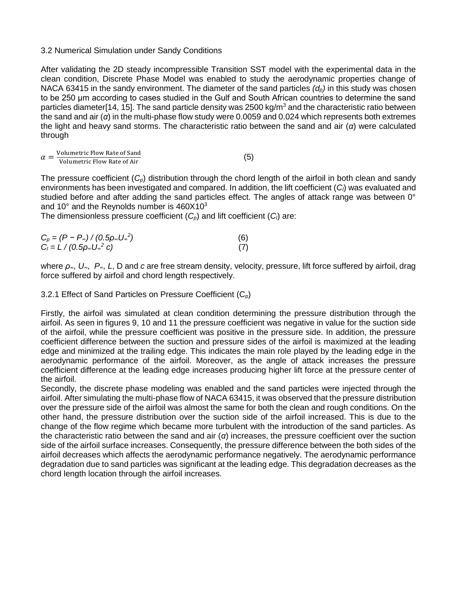## 3.2 Numerical Simulation under Sandy Conditions

After validating the 2D steady incompressible Transition SST model with the experimental data in the clean condition, Discrete Phase Model was enabled to study the aerodynamic properties change of NACA 63415 in the sandy environment. The diameter of the sand particles *(dp)* in this study was chosen to be 250 μm according to cases studied in the Gulf and South African countries to determine the sand particles diameter[\[14,](#page-8-13) [15\]](#page-8-14). The sand particle density was 2500 kg/m<sup>3</sup> and the characteristic ratio between the sand and air (*α*) in the multi-phase flow study were 0.0059 and 0.024 which represents both extremes the light and heavy sand storms. The characteristic ratio between the sand and air (*α*) were calculated through

| $\alpha$ |  | Volumetric Flow Rate of Sand | (5) |
|----------|--|------------------------------|-----|
|          |  | Volumetric Flow Rate of Air  |     |

The pressure coefficient (*Cp*) distribution through the chord length of the airfoil in both clean and sandy environments has been investigated and compared. In addition, the lift coefficient (*Cl*) was evaluated and studied before and after adding the sand particles effect. The angles of attack range was between 0° and 10 $^{\circ}$  and the Reynolds number is 460X10 $^{\circ}$ 

The dimensionless pressure coefficient (*Cp*) and lift coefficient (*Cl*) are:

| $C_p = (P - P_{\infty}) / (0.5 \rho_{\infty} U_{\infty}^2)$ | (6) |
|-------------------------------------------------------------|-----|
| $C_1 = L / (0.5 \rho_{\infty} U_{\infty}^2 c)$              |     |

where *ρ∞, U∞, P∞, L*, D and *c* are free stream density, velocity, pressure, lift force suffered by airfoil, drag force suffered by airfoil and chord length respectively.

3.2.1 Effect of Sand Particles on Pressure Coefficient  $(C_p)$ 

Firstly, the airfoil was simulated at clean condition determining the pressure distribution through the airfoil. As seen in figures 9, 10 and 11 the pressure coefficient was negative in value for the suction side of the airfoil, while the pressure coefficient was positive in the pressure side. In addition, the pressure coefficient difference between the suction and pressure sides of the airfoil is maximized at the leading edge and minimized at the trailing edge. This indicates the main role played by the leading edge in the aerodynamic performance of the airfoil. Moreover, as the angle of attack increases the pressure coefficient difference at the leading edge increases producing higher lift force at the pressure center of the airfoil.

Secondly, the discrete phase modeling was enabled and the sand particles were injected through the airfoil. After simulating the multi-phase flow of NACA 63415, it was observed that the pressure distribution over the pressure side of the airfoil was almost the same for both the clean and rough conditions. On the other hand, the pressure distribution over the suction side of the airfoil increased. This is due to the change of the flow regime which became more turbulent with the introduction of the sand particles. As the characteristic ratio between the sand and air (*α*) increases, the pressure coefficient over the suction side of the airfoil surface increases. Consequently, the pressure difference between the both sides of the airfoil decreases which affects the aerodynamic performance negatively. The aerodynamic performance degradation due to sand particles was significant at the leading edge. This degradation decreases as the chord length location through the airfoil increases.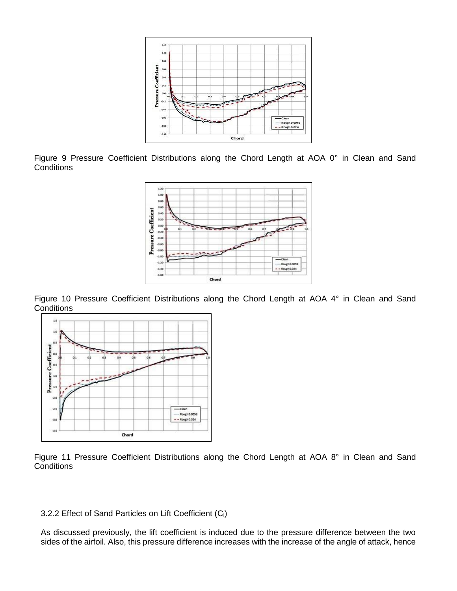

Figure 9 Pressure Coefficient Distributions along the Chord Length at AOA 0° in Clean and Sand **Conditions** 



Figure 10 Pressure Coefficient Distributions along the Chord Length at AOA 4° in Clean and Sand **Conditions** 



Figure 11 Pressure Coefficient Distributions along the Chord Length at AOA 8° in Clean and Sand **Conditions** 

## 3.2.2 Effect of Sand Particles on Lift Coefficient (C<sub>I</sub>)

As discussed previously, the lift coefficient is induced due to the pressure difference between the two sides of the airfoil. Also, this pressure difference increases with the increase of the angle of attack, hence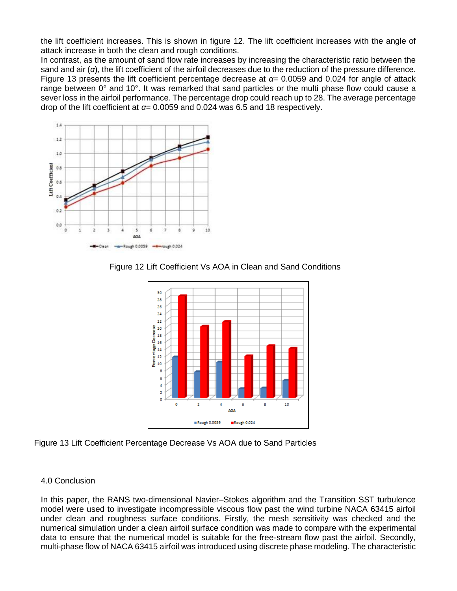the lift coefficient increases. This is shown in figure 12. The lift coefficient increases with the angle of attack increase in both the clean and rough conditions.

In contrast, as the amount of sand flow rate increases by increasing the characteristic ratio between the sand and air (*α*), the lift coefficient of the airfoil decreases due to the reduction of the pressure difference. Figure 13 presents the lift coefficient percentage decrease at *α*= 0.0059 and 0.024 for angle of attack range between 0° and 10°. It was remarked that sand particles or the multi phase flow could cause a sever loss in the airfoil performance. The percentage drop could reach up to 28. The average percentage drop of the lift coefficient at *α*= 0.0059 and 0.024 was 6.5 and 18 respectively.



Figure 12 Lift Coefficient Vs AOA in Clean and Sand Conditions



Figure 13 Lift Coefficient Percentage Decrease Vs AOA due to Sand Particles

# 4.0 Conclusion

In this paper, the RANS two-dimensional Navier–Stokes algorithm and the Transition SST turbulence model were used to investigate incompressible viscous flow past the wind turbine NACA 63415 airfoil under clean and roughness surface conditions. Firstly, the mesh sensitivity was checked and the numerical simulation under a clean airfoil surface condition was made to compare with the experimental data to ensure that the numerical model is suitable for the free-stream flow past the airfoil. Secondly, multi-phase flow of NACA 63415 airfoil was introduced using discrete phase modeling. The characteristic